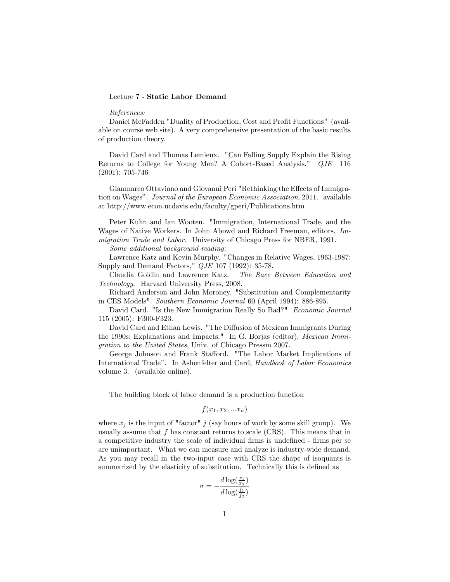### Lecture 7 - Static Labor Demand

### References:

Daniel McFadden "Duality of Production, Cost and Profit Functions" (available on course web site). A very comprehensive presentation of the basic results of production theory.

David Card and Thomas Lemieux. "Can Falling Supply Explain the Rising Returns to College for Young Men? A Cohort-Based Analysis." QJE 116 (2001): 705-746

Gianmarco Ottaviano and Giovanni Peri "Rethinking the Effects of Immigration on Wages". Journal of the European Economic Association, 2011. available at http://www.econ.ucdavis.edu/faculty/gperi/Publications.htm

Peter Kuhn and Ian Wooten. "Immigration, International Trade, and the Wages of Native Workers. In John Abowd and Richard Freeman, editors. Immigration Trade and Labor. University of Chicago Press for NBER, 1991.

Some additional background reading:

Lawrence Katz and Kevin Murphy. "Changes in Relative Wages, 1963-1987: Supply and Demand Factors," QJE 107 (1992): 35-78.

Claudia Goldin and Lawrence Katz. The Race Between Education and Technology. Harvard University Press, 2008.

Richard Anderson and John Moroney. "Substitution and Complementarity in CES Models". Southern Economic Journal 60 (April 1994): 886-895.

David Card. "Is the New Immigration Really So Bad?" Economic Journal 115 (2005): F300-F323.

David Card and Ethan Lewis. "The Diffusion of Mexican Immigrants During the 1990s: Explanations and Impacts." In G. Borjas (editor), Mexican Immigration to the United States, Univ. of Chicago Pressm 2007.

George Johnson and Frank Stafford. "The Labor Market Implications of International Trade". In Ashenfelter and Card, Handbook of Labor Economics volume 3. (available online).

The building block of labor demand is a production function

$$
f(x_1, x_2, \ldots x_n)
$$

where  $x_j$  is the input of "factor" j (say hours of work by some skill group). We usually assume that  $f$  has constant returns to scale (CRS). This means that in a competitive industry the scale of individual firms is undefined - firms per se are unimportant. What we can measure and analyze is industry-wide demand. As you may recall in the two-input case with CRS the shape of isoquants is summarized by the elasticity of substitution. Technically this is defined as

$$
\sigma = -\frac{d \log(\frac{x_1}{x_2})}{d \log(\frac{f_1}{f_2})}
$$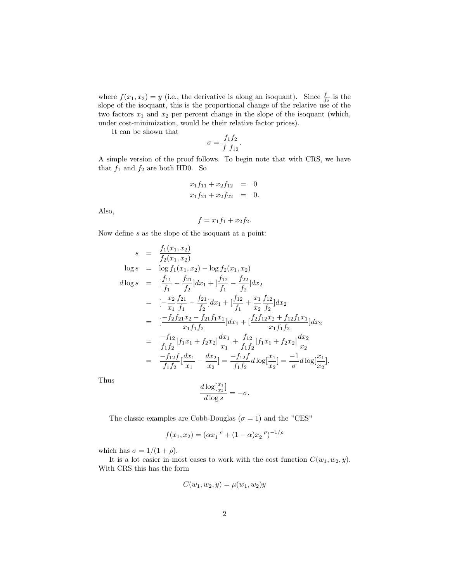where  $f(x_1, x_2) = y$  (i.e., the derivative is along an isoquant). Since  $\frac{f_1}{f_2}$  is the slope of the isoquant, this is the proportional change of the relative use of the two factors  $x_1$  and  $x_2$  per percent change in the slope of the isoquant (which, under cost-minimization, would be their relative factor prices).

It can be shown that

$$
\sigma = \frac{f_1 f_2}{f f_{12}}.
$$

A simple version of the proof follows. To begin note that with CRS, we have that  $f_1$  and  $f_2$  are both HD0. So

$$
x_1 f_{11} + x_2 f_{12} = 0
$$
  

$$
x_1 f_{21} + x_2 f_{22} = 0.
$$

Also,

$$
f = x_1 f_1 + x_2 f_2.
$$

Now define  $s$  as the slope of the isoquant at a point:

$$
s = \frac{f_1(x_1, x_2)}{f_2(x_1, x_2)}
$$
  
\n
$$
\log s = \log f_1(x_1, x_2) - \log f_2(x_1, x_2)
$$
  
\n
$$
d\log s = [\frac{f_{11}}{f_1} - \frac{f_{21}}{f_2}]dx_1 + [\frac{f_{12}}{f_1} - \frac{f_{22}}{f_2}]dx_2
$$
  
\n
$$
= [-\frac{x_2}{x_1} \frac{f_{21}}{f_1} - \frac{f_{21}}{f_2}]dx_1 + [\frac{f_{12}}{f_1} + \frac{x_1}{x_2} \frac{f_{12}}{f_2}]dx_2
$$
  
\n
$$
= [-\frac{f_2 f_{21} x_2 - f_{21} f_1 x_1}{x_1 f_1 f_2}]dx_1 + [\frac{f_2 f_{12} x_2 + f_{12} f_1 x_1}{x_1 f_1 f_2}]dx_2
$$
  
\n
$$
= \frac{-f_{12}}{f_1 f_2} [f_1 x_1 + f_2 x_2] \frac{dx_1}{x_1} + \frac{f_{12}}{f_1 f_2} [f_1 x_1 + f_2 x_2] \frac{dx_2}{x_2}
$$
  
\n
$$
= \frac{-f_{12} f}{f_1 f_2} [\frac{dx_1}{x_1} - \frac{dx_2}{x_2}] = \frac{-f_{12} f}{f_1 f_2} d \log[\frac{x_1}{x_2}] = \frac{-1}{\sigma} d \log[\frac{x_1}{x_2}].
$$

Thus

$$
\frac{d \log[\frac{x_1}{x_2}]}{d \log s} = -\sigma.
$$

The classic examples are Cobb-Douglas ( $\sigma = 1$ ) and the "CES"

$$
f(x_1, x_2) = (\alpha x_1^{-\rho} + (1 - \alpha)x_2^{-\rho})^{-1/\rho}
$$

which has  $\sigma = 1/(1 + \rho)$ .

It is a lot easier in most cases to work with the cost function  $C(w_1, w_2, y)$ . With CRS this has the form

$$
C(w_1, w_2, y) = \mu(w_1, w_2)y
$$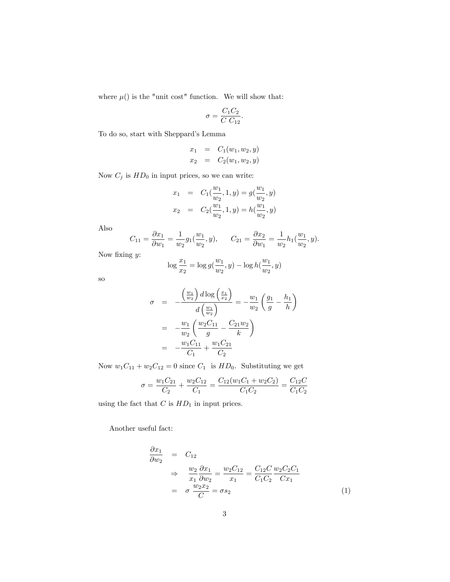where  $\mu$ () is the "unit cost" function. We will show that:

$$
\sigma = \frac{C_1 C_2}{C C_{12}}.
$$

To do so, start with Sheppard's Lemma

$$
x_1 = C_1(w_1, w_2, y)
$$
  

$$
x_2 = C_2(w_1, w_2, y)
$$

Now  $C_j$  is  $HD_0$  in input prices, so we can write:

$$
x_1 = C_1(\frac{w_1}{w_2}, 1, y) = g(\frac{w_1}{w_2}, y)
$$
  

$$
x_2 = C_2(\frac{w_1}{w_2}, 1, y) = h(\frac{w_1}{w_2}, y)
$$

Also

$$
C_{11} = \frac{\partial x_1}{\partial w_1} = \frac{1}{w_2} g_1(\frac{w_1}{w_2}, y), \qquad C_{21} = \frac{\partial x_2}{\partial w_1} = \frac{1}{w_2} h_1(\frac{w_1}{w_2}, y).
$$

Now fixing  $y$ :

$$
\log \frac{x_1}{x_2} = \log g(\frac{w_1}{w_2}, y) - \log h(\frac{w_1}{w_2}, y)
$$

so

$$
\sigma = -\frac{\left(\frac{w_1}{w_2}\right) d \log\left(\frac{x_1}{x_2}\right)}{d\left(\frac{w_1}{w_2}\right)} = -\frac{w_1}{w_2} \left(\frac{g_1}{g} - \frac{h_1}{h}\right)
$$

$$
= -\frac{w_1}{w_2} \left(\frac{w_2 C_{11}}{g} - \frac{C_{21} w_2}{k}\right)
$$

$$
= -\frac{w_1 C_{11}}{C_1} + \frac{w_1 C_{21}}{C_2}
$$

Now  $w_1C_{11} + w_2C_{12} = 0$  since  $C_1$  is  $HD_0$ . Substituting we get

$$
\sigma = \frac{w_1 C_{21}}{C_2} + \frac{w_2 C_{12}}{C_1} = \frac{C_{12}(w_1 C_1 + w_2 C_2)}{C_1 C_2} = \frac{C_{12} C}{C_1 C_2}
$$

using the fact that  $C$  is  $HD<sub>1</sub>$  in input prices.

Another useful fact:

$$
\frac{\partial x_1}{\partial w_2} = C_{12}
$$
\n
$$
\Rightarrow \frac{w_2}{x_1} \frac{\partial x_1}{\partial w_2} = \frac{w_2 C_{12}}{x_1} = \frac{C_{12} C}{C_1 C_2} \frac{w_2 C_2 C_1}{C x_1}
$$
\n
$$
= \sigma \frac{w_2 x_2}{C} = \sigma s_2 \tag{1}
$$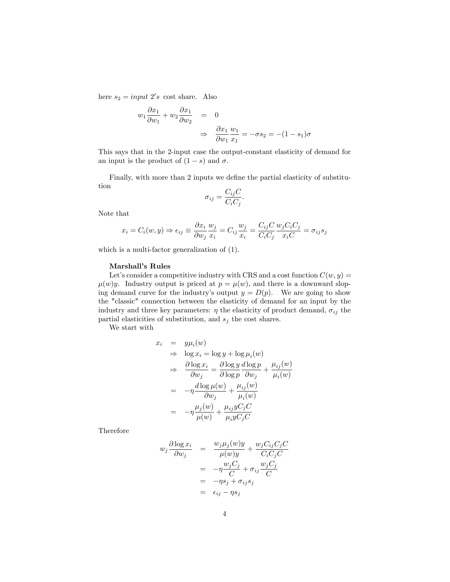here  $s_2 = input \ 2's \ cost \ share.$  Also

$$
w_1 \frac{\partial x_1}{\partial w_1} + w_2 \frac{\partial x_1}{\partial w_2} = 0
$$
  

$$
\Rightarrow \frac{\partial x_1}{\partial w_1} \frac{w_1}{x_1} = -\sigma s_2 = -(1 - s_1)\sigma
$$

This says that in the 2-input case the output-constant elasticity of demand for an input is the product of  $(1-s)$  and  $\sigma$ .

Finally, with more than 2 inputs we define the partial elasticity of substitution

$$
\sigma_{ij} = \frac{C_{ij}C}{C_iC_j}.
$$

Note that

$$
x_i = C_i(w, y) \Rightarrow \epsilon_{ij} \equiv \frac{\partial x_i}{\partial w_j} \frac{w_j}{x_i} = C_{ij} \frac{w_j}{x_i} = \frac{C_{ij}C}{C_iC_j} \frac{w_jC_iC_j}{x_iC} = \sigma_{ij}s_j
$$

which is a multi-factor generalization of (1).

### Marshall's Rules

Let's consider a competitive industry with CRS and a cost function  $C(w, y) =$  $\mu(w)y$ . Industry output is priced at  $p = \mu(w)$ , and there is a downward sloping demand curve for the industry's output  $y = D(p)$ . We are going to show the "classic" connection between the elasticity of demand for an input by the industry and three key parameters:  $\eta$  the elasticity of product demand,  $\sigma_{ij}$  the partial elasticities of substitution, and  $s_j$  the cost shares.

We start with

$$
x_i = y\mu_i(w)
$$
  
\n
$$
\Rightarrow \log x_i = \log y + \log \mu_i(w)
$$
  
\n
$$
\Rightarrow \frac{\partial \log x_i}{\partial w_j} = \frac{\partial \log y}{\partial \log p} \frac{d \log p}{\partial w_j} + \frac{\mu_{ij}(w)}{\mu_i(w)}
$$
  
\n
$$
= -\eta \frac{d \log \mu(w)}{\partial w_j} + \frac{\mu_{ij}(w)}{\mu_i(w)}
$$
  
\n
$$
= -\eta \frac{\mu_j(w)}{\mu(w)} + \frac{\mu_{ij}yC_jC}{\mu_{ij}yC_jC}
$$

Therefore

$$
w_j \frac{\partial \log x_i}{\partial w_j} = \frac{w_j \mu_j(w)y}{\mu(w)y} + \frac{w_j C_{ij} C_j C}{C_i C_j C}
$$
  
=  $-\eta \frac{w_j C_j}{C} + \sigma_{ij} \frac{w_j C_j}{C}$   
=  $-\eta s_j + \sigma_{ij} s_j$   
=  $\epsilon_{ij} - \eta s_j$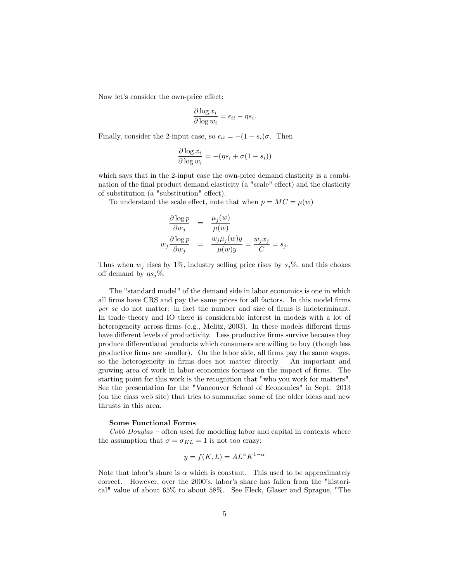Now let's consider the own-price effect:

$$
\frac{\partial \log x_i}{\partial \log w_i} = \epsilon_{ii} - \eta s_i.
$$

Finally, consider the 2-input case, so  $\epsilon_{ii} = -(1 - s_i)\sigma$ . Then

$$
\frac{\partial \log x_i}{\partial \log w_i} = -(\eta s_i + \sigma(1 - s_i))
$$

which says that in the 2-input case the own-price demand elasticity is a combination of the final product demand elasticity (a "scale" effect) and the elasticity of substitution (a "substitution" effect).

To understand the scale effect, note that when  $p = MC = \mu(w)$ 

$$
\frac{\partial \log p}{\partial w_j} = \frac{\mu_j(w)}{\mu(w)}
$$
  

$$
w_j \frac{\partial \log p}{\partial w_j} = \frac{w_j \mu_j(w) y}{\mu(w) y} = \frac{w_j x_j}{C} = s_j.
$$

Thus when  $w_j$  rises by 1%, industry selling price rises by  $s_j\%$ , and this chokes off demand by  $\eta s_j\%$ .

The "standard model" of the demand side in labor economics is one in which all Örms have CRS and pay the same prices for all factors. In this model Örms per se do not matter: in fact the number and size of firms is indeterminant. In trade theory and IO there is considerable interest in models with a lot of heterogeneity across firms (e.g., Melitz, 2003). In these models different firms have different levels of productivity. Less productive firms survive because they produce differentiated products which consumers are willing to buy (though less productive Örms are smaller). On the labor side, all Örms pay the same wages, so the heterogeneity in firms does not matter directly. An important and growing area of work in labor economics focuses on the impact of firms. The starting point for this work is the recognition that "who you work for matters". See the presentation for the "Vancouver School of Economics" in Sept. 2013 (on the class web site) that tries to summarize some of the older ideas and new thrusts in this area.

### Some Functional Forms

 $Cobb$  Douglas  $\sim$  often used for modeling labor and capital in contexts where the assumption that  $\sigma = \sigma_{KL} = 1$  is not too crazy:

$$
y = f(K, L) = AL^{\alpha} K^{1-\alpha}
$$

Note that labor's share is  $\alpha$  which is constant. This used to be approximately correct. However, over the 2000's, labor's share has fallen from the "historical" value of about 65% to about 58%. See Fleck, Glaser and Sprague, "The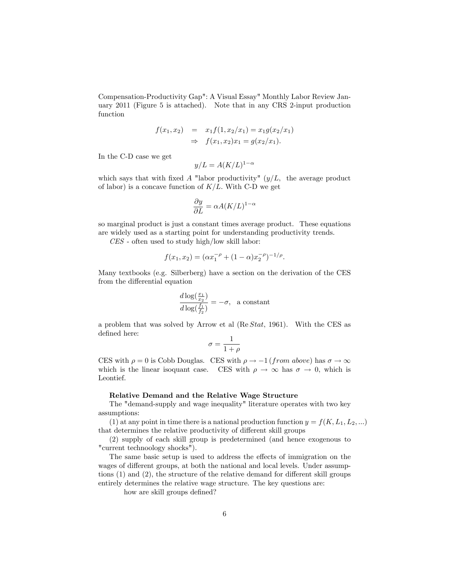Compensation-Productivity Gap": A Visual Essay" Monthly Labor Review January 2011 (Figure 5 is attached). Note that in any CRS 2-input production function

$$
f(x_1, x_2) = x_1 f(1, x_2/x_1) = x_1 g(x_2/x_1)
$$
  
\n
$$
\Rightarrow f(x_1, x_2)x_1 = g(x_2/x_1).
$$

In the C-D case we get

$$
y/L = A(K/L)^{1-\alpha}
$$

which says that with fixed A "labor productivity"  $(y/L, t)$  the average product of labor) is a concave function of  $K/L$ . With C-D we get

$$
\frac{\partial y}{\partial L} = \alpha A (K/L)^{1-\alpha}
$$

so marginal product is just a constant times average product. These equations are widely used as a starting point for understanding productivity trends.

CES - often used to study high/low skill labor:

$$
f(x_1, x_2) = (\alpha x_1^{-\rho} + (1 - \alpha)x_2^{-\rho})^{-1/\rho}.
$$

Many textbooks (e.g. Silberberg) have a section on the derivation of the CES from the differential equation

$$
\frac{d \log(\frac{x_1}{x_2})}{d \log(\frac{f_1}{f_2})} = -\sigma, \quad \text{a constant}
$$

a problem that was solved by Arrow et al (Re Stat, 1961). With the CES as defined here:

$$
\sigma = \frac{1}{1+\rho}
$$

CES with  $\rho = 0$  is Cobb Douglas. CES with  $\rho \to -1$  (*from above*) has  $\sigma \to \infty$ which is the linear isoquant case. CES with  $\rho \to \infty$  has  $\sigma \to 0$ , which is Leontief.

### Relative Demand and the Relative Wage Structure

The "demand-supply and wage inequality" literature operates with two key assumptions:

(1) at any point in time there is a national production function  $y = f(K, L_1, L_2, ...)$ that determines the relative productivity of different skill groups

(2) supply of each skill group is predetermined (and hence exogenous to "current technoology shocks").

The same basic setup is used to address the effects of immigration on the wages of different groups, at both the national and local levels. Under assumptions  $(1)$  and  $(2)$ , the structure of the relative demand for different skill groups entirely determines the relative wage structure. The key questions are:

how are skill groups defined?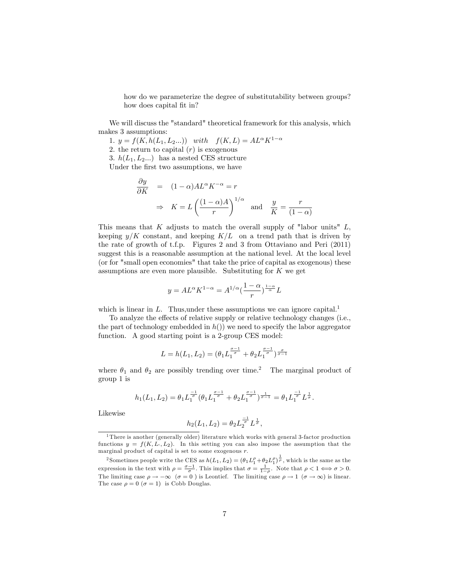how do we parameterize the degree of substitutability between groups? how does capital fit in?

We will discuss the "standard" theoretical framework for this analysis, which makes 3 assumptions:

1.  $y = f(K, h(L_1, L_2...))$  with  $f(K, L) = AL^{\alpha} K^{1-\alpha}$ 

2. the return to capital  $(r)$  is exogenous

3.  $h(L_1, L_2...)$  has a nested CES structure Under the first two assumptions, we have

$$
\frac{\partial y}{\partial K} = (1 - \alpha)AL^{\alpha} K^{-\alpha} = r
$$
  
\n
$$
\Rightarrow K = L \left(\frac{(1 - \alpha)A}{r}\right)^{1/\alpha} \text{ and } \frac{y}{K} = \frac{r}{(1 - \alpha)}
$$

This means that K adjusts to match the overall supply of "labor units"  $L$ , keeping  $y/K$  constant, and keeping  $K/L$  on a trend path that is driven by the rate of growth of t.f.p. Figures 2 and 3 from Ottaviano and Peri (2011) suggest this is a reasonable assumption at the national level. At the local level (or for "small open economies" that take the price of capital as exogenous) these assumptions are even more plausible. Substituting for  $K$  we get

$$
y=AL^{\alpha}K^{1-\alpha}=A^{1/\alpha}\big(\frac{1-\alpha}{r}\big)^{\frac{1-\alpha}{\alpha}}L
$$

which is linear in L. Thus, under these assumptions we can ignore capital.<sup>1</sup>

To analyze the effects of relative supply or relative technology changes (i.e., the part of technology embedded in  $h()$  we need to specify the labor aggregator function. A good starting point is a 2-group CES model:

$$
L = h(L_1, L_2) = (\theta_1 L_1^{\frac{\sigma - 1}{\sigma}} + \theta_2 L_1^{\frac{\sigma - 1}{\sigma}})^{\frac{\sigma}{\sigma - 1}}
$$

where  $\theta_1$  and  $\theta_2$  are possibly trending over time.<sup>2</sup> The marginal product of group 1 is

$$
h_1(L_1, L_2) = \theta_1 L_1^{\frac{-1}{\sigma}} (\theta_1 L_1^{\frac{\sigma-1}{\sigma}} + \theta_2 L_1^{\frac{\sigma-1}{\sigma}})^{\frac{1}{\sigma-1}} = \theta_1 L_1^{\frac{-1}{\sigma}} L^{\frac{1}{\sigma}}.
$$

Likewise

$$
h_2(L_1, L_2) = \theta_2 L_2^{\frac{-1}{\sigma}} L^{\frac{1}{\sigma}},
$$

<sup>&</sup>lt;sup>1</sup>There is another (generally older) literature which works with general 3-factor production functions  $y = f(K, L<sub>1</sub>, L<sub>2</sub>)$ . In this setting you can also impose the assumption that the marginal product of capital is set to some exogenous r.

<sup>&</sup>lt;sup>2</sup> Sometimes people write the CES as  $h(L_1, L_2) = (\theta_1 L_1^{\rho} + \theta_2 L_1^{\rho})^{\frac{1}{\rho}}$ , which is the same as the expression in the text with  $\rho = \frac{\sigma - 1}{\sigma}$ . This implies that  $\sigma = \frac{1}{1 - \rho}$ . Note that  $\rho < 1 \Longleftrightarrow \sigma > 0$ . The limiting case  $\rho \to -\infty$   $(\sigma = 0)$  is Leontief. The limiting case  $\rho \to 1$   $(\sigma \to \infty)$  is linear. The case  $\rho = 0$  ( $\sigma = 1$ ) is Cobb Douglas.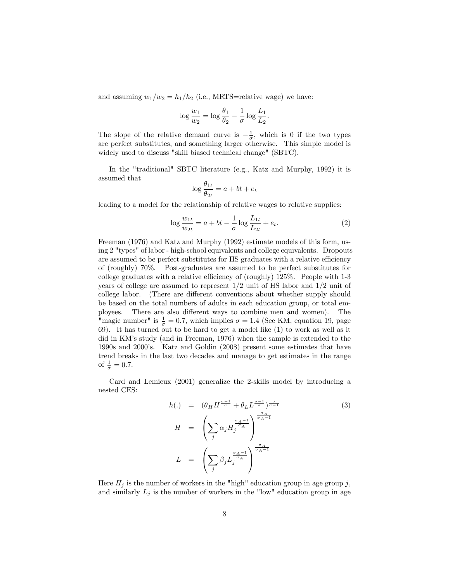and assuming  $w_1/w_2 = h_1/h_2$  (i.e., MRTS=relative wage) we have:

$$
\log \frac{w_1}{w_2} = \log \frac{\theta_1}{\theta_2} - \frac{1}{\sigma} \log \frac{L_1}{L_2}
$$

The slope of the relative demand curve is  $-\frac{1}{\sigma}$ , which is 0 if the two types are perfect substitutes, and something larger otherwise. This simple model is widely used to discuss "skill biased technical change" (SBTC).

In the "traditional" SBTC literature (e.g., Katz and Murphy, 1992) it is assumed that

$$
\log \frac{\theta_{1t}}{\theta_{2t}} = a + bt + e_t
$$

leading to a model for the relationship of relative wages to relative supplies:

$$
\log \frac{w_{1t}}{w_{2t}} = a + bt - \frac{1}{\sigma} \log \frac{L_{1t}}{L_{2t}} + e_t.
$$
 (2)

:

Freeman (1976) and Katz and Murphy (1992) estimate models of this form, using 2 "types" of labor - high-school equivalents and college equivalents. Dropouts are assumed to be perfect substitutes for HS graduates with a relative efficiency of (roughly) 70%. Post-graduates are assumed to be perfect substitutes for college graduates with a relative efficiency of (roughly)  $125\%$ . People with 1-3 years of college are assumed to represent  $1/2$  unit of HS labor and  $1/2$  unit of college labor. (There are different conventions about whether supply should be based on the total numbers of adults in each education group, or total employees. There are also different ways to combine men and women). The "magic number" is  $\frac{1}{\sigma} = 0.7$ , which implies  $\sigma = 1.4$  (See KM, equation 19, page 69). It has turned out to be hard to get a model like (1) to work as well as it did in KM's study (and in Freeman, 1976) when the sample is extended to the 1990s and 2000ís. Katz and Goldin (2008) present some estimates that have trend breaks in the last two decades and manage to get estimates in the range of  $\frac{1}{\sigma} = 0.7$ .

Card and Lemieux (2001) generalize the 2-skills model by introducing a nested CES:

$$
h(.) = (\theta_H H^{\frac{\sigma-1}{\sigma}} + \theta_L L^{\frac{\sigma-1}{\sigma}})^{\frac{\sigma}{\sigma-1}}
$$
(3)  

$$
H = \left(\sum_j \alpha_j H_j^{\frac{\sigma_A-1}{\sigma_A}}\right)^{\frac{\sigma_A}{\sigma_A-1}}
$$
  

$$
L = \left(\sum_j \beta_j L_j^{\frac{\sigma_A-1}{\sigma_A}}\right)^{\frac{\sigma_A}{\sigma_A-1}}
$$

Here  $H_j$  is the number of workers in the "high" education group in age group j, and similarly  $L_j$  is the number of workers in the "low" education group in age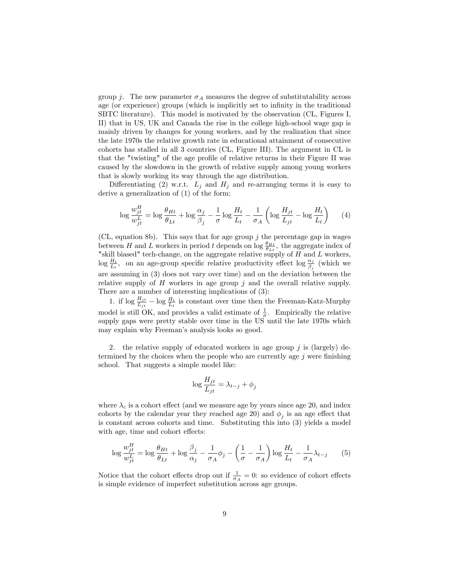group j. The new parameter  $\sigma_A$  measures the degree of substitutability across age (or experience) groups (which is implicitly set to infinity in the traditional SBTC literature). This model is motivated by the observation (CL, Figures I, II) that in US, UK and Canada the rise in the college high-school wage gap is mainly driven by changes for young workers, and by the realization that since the late 1970s the relative growth rate in educational attainment of consecutive cohorts has stalled in all 3 countries (CL, Figure III). The argument in CL is that the "twisting" of the age profile of relative returns in their Figure II was caused by the slowdown in the growth of relative supply among young workers that is slowly working its way through the age distribution.

Differentiating (2) w.r.t.  $L_j$  and  $H_j$  and re-arranging terms it is easy to derive a generalization of (1) of the form:

$$
\log \frac{w_{jt}^H}{w_{jt}^L} = \log \frac{\theta_{Ht}}{\theta_{Lt}} + \log \frac{\alpha_j}{\beta_j} - \frac{1}{\sigma} \log \frac{H_t}{L_t} - \frac{1}{\sigma_A} \left( \log \frac{H_{jt}}{L_{jt}} - \log \frac{H_t}{L_t} \right) \tag{4}
$$

(CL, equation 8b). This says that for age group  $j$  the percentage gap in wages between H and L workers in period t depends on  $\log \frac{\theta_{Ht}}{\theta_{Lt}}$ , the aggregate index of "skill biased" tech-change, on the aggregate relative supply of  $H$  and  $L$  workers,  $\log \frac{H_t}{L_t}$ , on an age-group specific relative productivity effect  $\log \frac{\alpha_j}{\beta_j}$  (which we are assuming in (3) does not vary over time) and on the deviation between the relative supply of  $H$  workers in age group  $j$  and the overall relative supply. There are a number of interesting implications of (3):

1. if  $\log \frac{H_{jt}}{L_{jt}} - \log \frac{H_t}{L_t}$  is constant over time then the Freeman-Katz-Murphy model is still OK, and provides a valid estimate of  $\frac{1}{\sigma}$ . Empirically the relative supply gaps were pretty stable over time in the US until the late 1970s which may explain why Freeman's analysis looks so good.

2. the relative supply of educated workers in age group  $j$  is (largely) determined by the choices when the people who are currently age  $j$  were finishing school. That suggests a simple model like:

$$
\log \frac{H_{jt}}{L_{jt}} = \lambda_{t-j} + \phi_j
$$

where  $\lambda_c$  is a cohort effect (and we measure age by years since age 20, and index cohorts by the calendar year they reached age 20) and  $\phi_j$  is an age effect that is constant across cohorts and time. Substituting this into (3) yields a model with age, time and cohort effects:

$$
\log \frac{w_{jt}^H}{w_{jt}^L} = \log \frac{\theta_{Ht}}{\theta_{Lt}} + \log \frac{\beta_j}{\alpha_j} - \frac{1}{\sigma_A} \phi_j - \left(\frac{1}{\sigma} - \frac{1}{\sigma_A}\right) \log \frac{H_t}{L_t} - \frac{1}{\sigma_A} \lambda_{t-j} \tag{5}
$$

Notice that the cohort effects drop out if  $\frac{1}{\sigma_A} = 0$ : so evidence of cohort effects is simple evidence of imperfect substitution across age groups.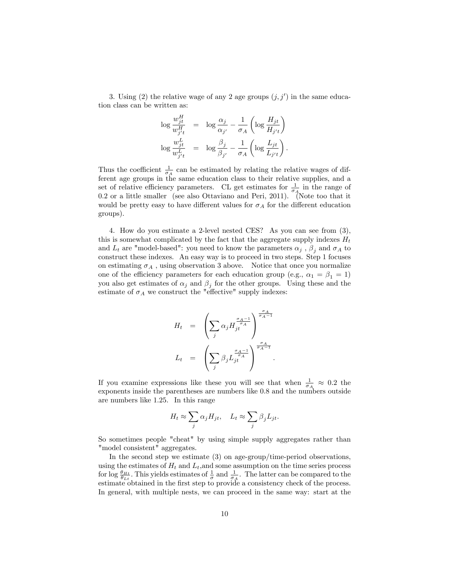3. Using (2) the relative wage of any 2 age groups  $(j, j')$  in the same education class can be written as:

$$
\log \frac{w_{jt}^H}{w_{j't}^H} = \log \frac{\alpha_j}{\alpha_{j'}} - \frac{1}{\sigma_A} \left( \log \frac{H_{jt}}{H_{j't}} \right)
$$
  

$$
\log \frac{w_{jt}^L}{w_{j't}^L} = \log \frac{\beta_j}{\beta_{j'}} - \frac{1}{\sigma_A} \left( \log \frac{L_{jt}}{L_{j't}} \right).
$$

Thus the coefficient  $\frac{1}{\sigma_A}$  can be estimated by relating the relative wages of different age groups in the same education class to their relative supplies, and a set of relative efficiency parameters. CL get estimates for  $\frac{1}{\sigma_A}$  in the range of 0:2 or a little smaller (see also Ottaviano and Peri, 2011). (Note too that it would be pretty easy to have different values for  $\sigma_A$  for the different education groups).

4. How do you estimate a 2-level nested CES? As you can see from (3), this is somewhat complicated by the fact that the aggregate supply indexes  $H_t$ and  $L_t$  are "model-based": you need to know the parameters  $\alpha_j$ ,  $\beta_j$  and  $\sigma_A$  to construct these indexes. An easy way is to proceed in two steps. Step 1 focuses on estimating  $\sigma_A$ , using observation 3 above. Notice that once you normalize one of the efficiency parameters for each education group (e.g.,  $\alpha_1 = \beta_1 = 1$ ) you also get estimates of  $\alpha_j$  and  $\beta_j$  for the other groups. Using these and the estimate of  $\sigma_A$  we construct the "effective" supply indexes:

$$
H_t = \left(\sum_j \alpha_j H_{jt}^{\frac{\sigma_A - 1}{\sigma_A}}\right)^{\frac{\sigma_A}{\sigma_A - 1}}
$$

$$
L_t = \left(\sum_j \beta_j L_{jt}^{\frac{\sigma_A - 1}{\sigma_A}}\right)^{\frac{\sigma_A}{\sigma_A - 1}}.
$$

If you examine expressions like these you will see that when  $\frac{1}{\sigma_A} \approx 0.2$  the exponents inside the parentheses are numbers like 0.8 and the numbers outside are numbers like 1.25. In this range

$$
H_t \approx \sum_j \alpha_j H_{jt}, \quad L_t \approx \sum_j \beta_j L_{jt}.
$$

So sometimes people "cheat" by using simple supply aggregates rather than "model consistent" aggregates.

In the second step we estimate (3) on age-group/time-period observations, using the estimates of  $H_t$  and  $L_t$ , and some assumption on the time series process for  $\log \frac{\theta_{Ht}}{\theta_{Lt}}$ . This yields estimates of  $\frac{1}{\sigma}$  and  $\frac{1}{\sigma_A}$ . The latter can be compared to the estimate obtained in the first step to provide a consistency check of the process. In general, with multiple nests, we can proceed in the same way: start at the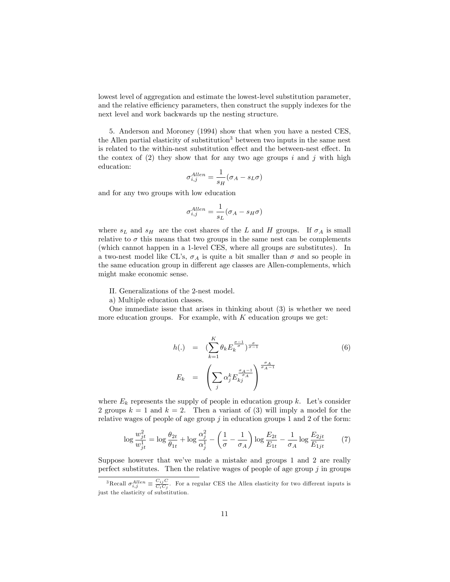lowest level of aggregation and estimate the lowest-level substitution parameter, and the relative efficiency parameters, then construct the supply indexes for the next level and work backwards up the nesting structure.

5. Anderson and Moroney (1994) show that when you have a nested CES, the Allen partial elasticity of substitution<sup>3</sup> between two inputs in the same nest is related to the within-nest substitution effect and the between-nest effect. In the contex of  $(2)$  they show that for any two age groups i and j with high education:

$$
\sigma_{i,j}^{Allen} = \frac{1}{s_H} (\sigma_A - s_L \sigma)
$$

and for any two groups with low education

$$
\sigma_{i,j}^{Allen} = \frac{1}{s_L} (\sigma_A - s_H \sigma)
$$

where  $s_L$  and  $s_H$  are the cost shares of the L and H groups. If  $\sigma_A$  is small relative to  $\sigma$  this means that two groups in the same nest can be complements (which cannot happen in a 1-level CES, where all groups are substitutes). In a two-nest model like CL's,  $\sigma_A$  is quite a bit smaller than  $\sigma$  and so people in the same education group in different age classes are Allen-complements, which might make economic sense.

II. Generalizations of the 2-nest model.

a) Multiple education classes.

One immediate issue that arises in thinking about (3) is whether we need more education groups. For example, with  $K$  education groups we get:

$$
h(.) = \left(\sum_{k=1}^{K} \theta_k E_k^{\frac{\sigma-1}{\sigma}}\right)_{\sigma=1}^{\frac{\sigma}{\sigma-1}}
$$
\n
$$
E_k = \left(\sum_j \alpha_j^k E_{kj}^{\frac{\sigma_A-1}{\sigma_A}}\right)^{\frac{\sigma_A}{\sigma_A-1}}
$$
\n(6)

where  $E_k$  represents the supply of people in education group k. Let's consider 2 groups  $k = 1$  and  $k = 2$ . Then a variant of (3) will imply a model for the relative wages of people of age group  $j$  in education groups 1 and 2 of the form:

$$
\log \frac{w_{jt}^2}{w_{jt}^1} = \log \frac{\theta_{2t}}{\theta_{1t}} + \log \frac{\alpha_j^2}{\alpha_j^1} - \left(\frac{1}{\sigma} - \frac{1}{\sigma_A}\right) \log \frac{E_{2t}}{E_{1t}} - \frac{1}{\sigma_A} \log \frac{E_{2jt}}{E_{1jt}} \tag{7}
$$

Suppose however that we've made a mistake and groups 1 and 2 are really perfect substitutes. Then the relative wages of people of age group  $j$  in groups

<sup>&</sup>lt;sup>3</sup>Recall  $\sigma_{i,j}^{Allen} \equiv \frac{C_{ij}C}{C_iC_j}$ . For a regular CES the Allen elasticity for two different inputs is just the elasticity of substitution.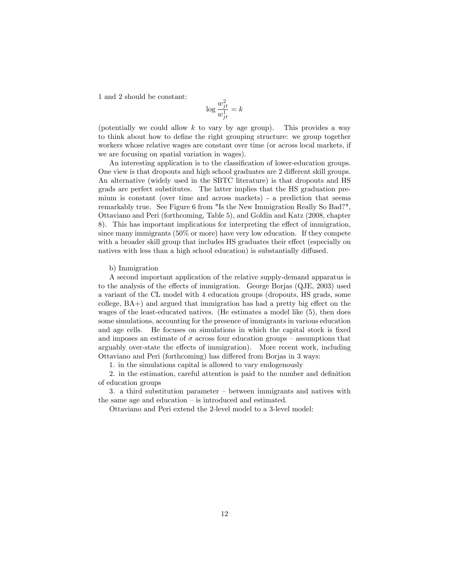1 and 2 should be constant:

$$
\log \frac{w_{jt}^2}{w_{jt}^1} = k
$$

(potentially we could allow  $k$  to vary by age group). This provides a way to think about how to define the right grouping structure: we group together workers whose relative wages are constant over time (or across local markets, if we are focusing on spatial variation in wages).

An interesting application is to the classification of lower-education groups. One view is that dropouts and high school graduates are 2 different skill groups. An alternative (widely used in the SBTC literature) is that dropouts and HS grads are perfect substitutes. The latter implies that the HS graduation premium is constant (over time and across markets) - a prediction that seems remarkably true. See Figure 6 from "Is the New Immigration Really So Bad?", Ottaviano and Peri (forthcoming, Table 5), and Goldin and Katz (2008, chapter 8). This has important implications for interpreting the effect of immigration, since many immigrants (50% or more) have very low education. If they compete with a broader skill group that includes HS graduates their effect (especially on natives with less than a high school education) is substantially diffused.

### b) Immigration

A second important application of the relative supply-demand apparatus is to the analysis of the effects of immigration. George Borjas (QJE, 2003) used a variant of the CL model with 4 education groups (dropouts, HS grads, some  $\alpha$ college,  $BA+$ ) and argued that immigration has had a pretty big effect on the wages of the least-educated natives. (He estimates a model like (5), then does some simulations, accounting for the presence of immigrants in various education and age cells. He focuses on simulations in which the capital stock is fixed and imposes an estimate of  $\sigma$  across four education groups – assumptions that arguably over-state the effects of immigration). More recent work, including Ottaviano and Peri (forthcoming) has differed from Borjas in 3 ways:

1. in the simulations capital is allowed to vary endogenously

2. in the estimation, careful attention is paid to the number and definition of education groups

3. a third substitution parameter  $-\overline{\ }$  between immigrants and natives with the same age and education  $-$  is introduced and estimated.

Ottaviano and Peri extend the 2-level model to a 3-level model: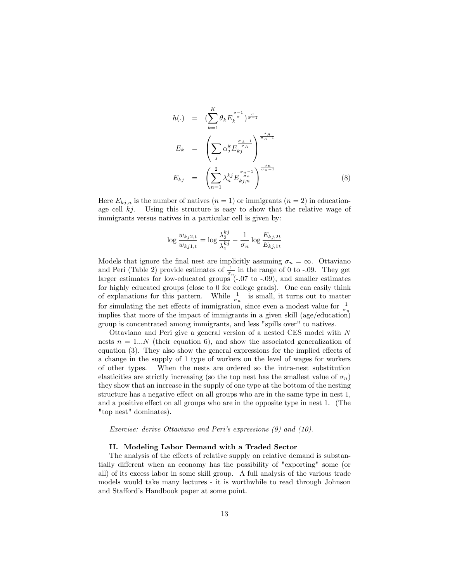$$
h(.) = \left(\sum_{k=1}^{K} \theta_k E_k^{\frac{\sigma-1}{\sigma}}\right)_{\frac{\sigma}{\sigma-1}}
$$
  
\n
$$
E_k = \left(\sum_j \alpha_j^k E_{kj}^{\frac{\sigma_A-1}{\sigma_A}}\right)^{\frac{\sigma_A}{\sigma_A-1}}
$$
  
\n
$$
E_{kj} = \left(\sum_{n=1}^{2} \lambda_n^{kj} E_{kj,n}^{\frac{\sigma_n-1}{\sigma_n}}\right)^{\frac{\sigma_n}{\sigma_n-1}}
$$
\n(8)

Here  $E_{k,i,n}$  is the number of natives  $(n = 1)$  or immigrants  $(n = 2)$  in educationage cell  $kj$ . Using this structure is easy to show that the relative wage of immigrants versus natives in a particular cell is given by:

$$
\log \frac{w_{kj2,t}}{w_{kj1,t}} = \log \frac{\lambda_2^{kj}}{\lambda_1^{kj}} - \frac{1}{\sigma_n} \log \frac{E_{kj,2t}}{E_{kj,1t}}
$$

Models that ignore the final nest are implicitly assuming  $\sigma_n = \infty$ . Ottaviano and Peri (Table 2) provide estimates of  $\frac{1}{\sigma_n}$  in the range of 0 to -.09. They get larger estimates for low-educated groups (-.07 to -.09), and smaller estimates for highly educated groups (close to 0 for college grads). One can easily think of explanations for this pattern. While  $\frac{1}{\sigma_n}$  is small, it turns out to matter for simulating the net effects of immigration, since even a modest value for  $\frac{1}{\sigma_n}$ implies that more of the impact of immigrants in a given skill (age/education) group is concentrated among immigrants, and less "spills over" to natives.

Ottaviano and Peri give a general version of a nested CES model with N nests  $n = 1...N$  (their equation 6), and show the associated generalization of equation  $(3)$ . They also show the general expressions for the implied effects of a change in the supply of 1 type of workers on the level of wages for workers of other types. When the nests are ordered so the intra-nest substitution elasticities are strictly increasing (so the top nest has the smallest value of  $\sigma_n$ ) they show that an increase in the supply of one type at the bottom of the nesting structure has a negative effect on all groups who are in the same type in nest 1, and a positive effect on all groups who are in the opposite type in nest 1. (The "top nest" dominates).

Exercise: derive Ottaviano and Peri's expressions (9) and (10).

### II. Modeling Labor Demand with a Traded Sector

The analysis of the effects of relative supply on relative demand is substantially different when an economy has the possibility of "exporting" some (or all) of its excess labor in some skill group. A full analysis of the various trade models would take many lectures - it is worthwhile to read through Johnson and Stafford's Handbook paper at some point.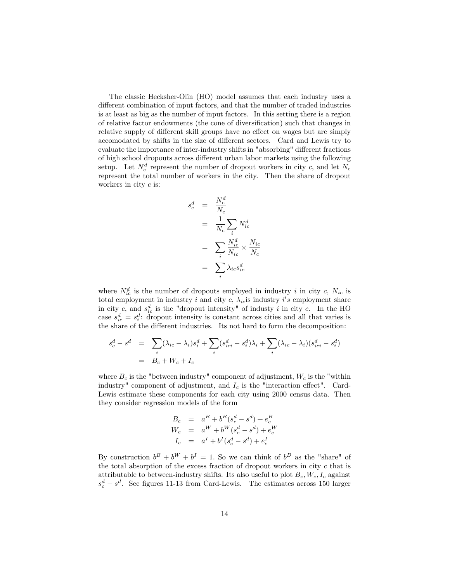The classic Hecksher-Olin (HO) model assumes that each industry uses a different combination of input factors, and that the number of traded industries is at least as big as the number of input factors. In this setting there is a region of relative factor endowments (the cone of diversification) such that changes in relative supply of different skill groups have no effect on wages but are simply accomodated by shifts in the size of different sectors. Card and Lewis try to evaluate the importance of inter-industry shifts in "absorbing" different fractions of high school dropouts across different urban labor markets using the following setup. Let  $N_c^d$  represent the number of dropout workers in city c, and let  $N_c$ represent the total number of workers in the city. Then the share of dropout workers in city  $c$  is:

$$
s_c^d = \frac{N_c^d}{N_c}
$$
  
=  $\frac{1}{N_c} \sum_i N_{ic}^d$   
=  $\sum_i \frac{N_{ic}^d}{N_{ic}} \times \frac{N_{ic}}{N_c}$   
=  $\sum_i \lambda_{ic} s_{ic}^d$ 

where  $N_{ic}^d$  is the number of dropouts employed in industry i in city c,  $N_{ic}$  is total employment in industry i and city c,  $\lambda_{ic}$  is industry i's employment share in city c, and  $s_{ic}^d$  is the "dropout intensity" of industy i in city c. In the HO case  $s_{ic}^d = s_i^d$ : dropout intensity is constant across cities and all that varies is the share of the different industries. Its not hard to form the decomposition:

$$
s_c^d - s^d = \sum_i (\lambda_{ic} - \lambda_i) s_i^d + \sum_i (s_{ici}^d - s_i^d) \lambda_i + \sum_i (\lambda_{ic} - \lambda_i) (s_{ici}^d - s_i^d)
$$
  
=  $B_c + W_c + I_c$ 

where  $B_c$  is the "between industry" component of adjustment,  $W_c$  is the "within industry" component of adjustment, and  $I_c$  is the "interaction effect". Card-Lewis estimate these components for each city using 2000 census data. Then they consider regression models of the form

$$
B_c = a^B + b^B(s_c^d - s^d) + e_c^B
$$
  
\n
$$
W_c = a^W + b^W(s_c^d - s^d) + e_c^W
$$
  
\n
$$
I_c = a^I + b^I(s_c^d - s^d) + e_c^I
$$

By construction  $b^B + b^W + b^I = 1$ . So we can think of  $b^B$  as the "share" of the total absorption of the excess fraction of dropout workers in city  $c$  that is attributable to between-industry shifts. Its also useful to plot  $B_c$ ,  $W_c$ ,  $I_c$  against  $s_c^d - s^d$ . See figures 11-13 from Card-Lewis. The estimates across 150 larger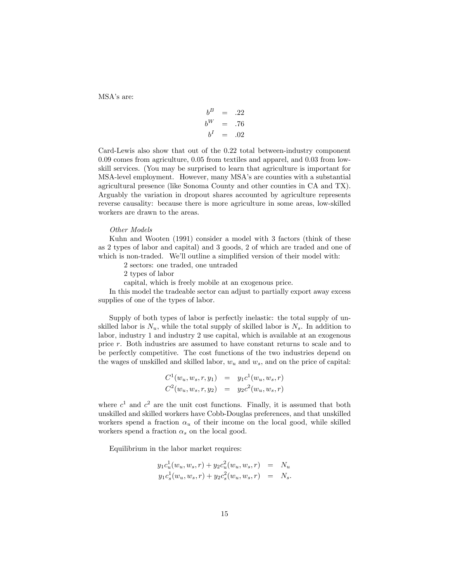MSA's are:

$$
\begin{array}{rcl}\nb^B & = & .22 \\
b^W & = & .76 \\
b^I & = & .02\n\end{array}
$$

Card-Lewis also show that out of the 0:22 total between-industry component 0:09 comes from agriculture, 0:05 from textiles and apparel; and 0:03 from lowskill services. (You may be surprised to learn that agriculture is important for MSA-level employment. However, many MSA's are counties with a substantial agricultural presence (like Sonoma County and other counties in CA and TX). Arguably the variation in dropout shares accounted by agriculture represents reverse causality: because there is more agriculture in some areas, low-skilled workers are drawn to the areas.

### Other Models

Kuhn and Wooten (1991) consider a model with 3 factors (think of these as 2 types of labor and capital) and 3 goods, 2 of which are traded and one of which is non-traded. We'll outline a simplified version of their model with:

2 sectors: one traded, one untraded

2 types of labor

capital, which is freely mobile at an exogenous price.

In this model the tradeable sector can adjust to partially export away excess supplies of one of the types of labor.

Supply of both types of labor is perfectly inelastic: the total supply of unskilled labor is  $N_u$ , while the total supply of skilled labor is  $N_s$ . In addition to labor, industry 1 and industry 2 use capital, which is available at an exogenous price r. Both industries are assumed to have constant returns to scale and to be perfectly competitive. The cost functions of the two industries depend on the wages of unskilled and skilled labor,  $w_u$  and  $w_s$ , and on the price of capital:

$$
C^{1}(w_{u}, w_{s}, r, y_{1}) = y_{1}c^{1}(w_{u}, w_{s}, r)
$$
  

$$
C^{2}(w_{u}, w_{s}, r, y_{2}) = y_{2}c^{2}(w_{u}, w_{s}, r)
$$

where  $c^1$  and  $c^2$  are the unit cost functions. Finally, it is assumed that both unskilled and skilled workers have Cobb-Douglas preferences, and that unskilled workers spend a fraction  $\alpha_u$  of their income on the local good, while skilled workers spend a fraction  $\alpha_s$  on the local good.

Equilibrium in the labor market requires:

$$
y_1 c_u^1(w_u, w_s, r) + y_2 c_u^2(w_u, w_s, r) = N_u
$$
  

$$
y_1 c_s^1(w_u, w_s, r) + y_2 c_s^2(w_u, w_s, r) = N_s.
$$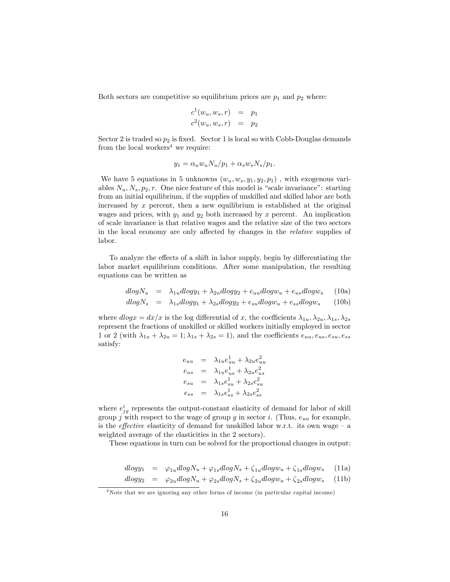Both sectors are competitive so equilibrium prices are  $p_1$  and  $p_2$  where:

$$
c1(wu, ws, r) = p1
$$
  

$$
c2(wu, ws, r) = p2
$$

Sector 2 is traded so  $p_2$  is fixed. Sector 1 is local so with Cobb-Douglas demands from the local workers<sup>4</sup> we require:

$$
y_1 = \alpha_u w_u N_u / p_1 + \alpha_s w_s N_s / p_1.
$$

We have 5 equations in 5 unknowns  $(w_u, w_s, y_1, y_2, p_1)$ , with exogenous variables  $N_u, N_s, p_2, r.$  One nice feature of this model is "scale invariance": starting from an initial equilibrium, if the supplies of unskilled and skilled labor are both increased by  $x$  percent, then a new equilibrium is established at the original wages and prices, with  $y_1$  and  $y_2$  both increased by x percent. An implication of scale invariance is that relative wages and the relative size of the two sectors in the local economy are only affected by changes in the *relative* supplies of labor.

To analyze the effects of a shift in labor supply, begin by differentiating the labor market equilibrium conditions. After some manipulation, the resulting equations can be written as

$$
dlogN_u = \lambda_{1u}dlogy_1 + \lambda_{2u}dlogy_2 + e_{uu}dlogw_u + e_{us}dlogw_s \quad (10a)
$$

$$
dlog N_s = \lambda_{1s} dlog y_1 + \lambda_{2s} dlog y_2 + e_{su} dlog w_u + e_{ss} dlog w_s \qquad (10b)
$$

where  $dlogx = dx/x$  is the log differential of x, the coefficients  $\lambda_{1u}, \lambda_{2u}, \lambda_{1s}, \lambda_{2s}$ represent the fractions of unskilled or skilled workers initially employed in sector 1 or 2 (with  $\lambda_{1u} + \lambda_{2u} = 1$ ;  $\lambda_{1s} + \lambda_{2s} = 1$ ), and the coefficients  $e_{uu}, e_{us}, e_{su}, e_{ss}$ satisfy:

$$
e_{uu} = \lambda_{1u}e_{uu}^1 + \lambda_{2u}e_{uu}^2
$$
  
\n
$$
e_{us} = \lambda_{1u}e_{us}^1 + \lambda_{2u}e_{us}^2
$$
  
\n
$$
e_{su} = \lambda_{1s}e_{su}^1 + \lambda_{2s}e_{su}^2
$$
  
\n
$$
e_{ss} = \lambda_{1s}e_{ss}^1 + \lambda_{2s}e_{ss}^2
$$

where  $e_{jg}^{i}$  represents the output-constant elasticity of demand for labor of skill group j with respect to the wage of group g in sector i. (Thus,  $e_{uu}$  for example, is the *effective* elasticity of demand for unskilled labor w.r.t. its own wage  $-\alpha$ weighted average of the elasticities in the 2 sectors).

These equations in turn can be solved for the proportional changes in output:

$$
dlogy_1 = \varphi_{1u}dlogN_u + \varphi_{1s}dlogN_s + \zeta_{1u}dlogw_u + \zeta_{1s}dlogw_s \quad (11a)
$$

$$
dlogy_2 = \varphi_{2u}dlogN_u + \varphi_{2s}dlogN_s + \zeta_{2u}dlogw_u + \zeta_{2s}dlogw_s \quad (11b)
$$

<sup>&</sup>lt;sup>4</sup>Note that we are ignoring any other forms of income (in particular capital income)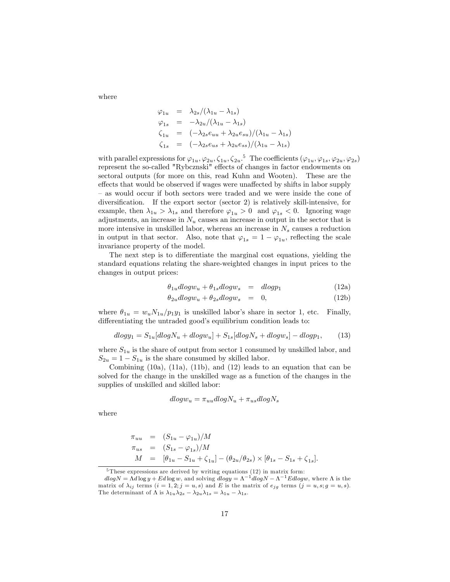where

$$
\varphi_{1u} = \lambda_{2s} / (\lambda_{1u} - \lambda_{1s})
$$
  
\n
$$
\varphi_{1s} = -\lambda_{2u} / (\lambda_{1u} - \lambda_{1s})
$$
  
\n
$$
\zeta_{1u} = (-\lambda_{2s}e_{uu} + \lambda_{2u}e_{su}) / (\lambda_{1u} - \lambda_{1s})
$$
  
\n
$$
\zeta_{1s} = (-\lambda_{2s}e_{us} + \lambda_{2u}e_{ss}) / (\lambda_{1u} - \lambda_{1s})
$$

with parallel expressions for  $\varphi_{1u}, \varphi_{2u}, \zeta_{1u}, \zeta_{2u}$ .<sup>5</sup> The coefficients  $(\varphi_{1u}, \varphi_{1s}, \varphi_{2u}, \varphi_{2s})$ represent the so-called "Rybcznski" effects of changes in factor endowments on sectoral outputs (for more on this, read Kuhn and Wooten). These are the effects that would be observed if wages were unaffected by shifts in labor supply as would occur if both sectors were traded and we were inside the cone of diversification. If the export sector (sector  $2$ ) is relatively skill-intensive, for example, then  $\lambda_{1u} > \lambda_{1s}$  and therefore  $\varphi_{1u} > 0$  and  $\varphi_{1s} < 0$ . Ignoring wage adjustments, an increase in  $N_u$  causes an increase in output in the sector that is more intensive in unskilled labor, whereas an increase in  $N_s$  causes a reduction in output in that sector. Also, note that  $\varphi_{1s} = 1 - \varphi_{1u}$ , reflecting the scale invariance property of the model.

The next step is to differentiate the marginal cost equations, yielding the standard equations relating the share-weighted changes in input prices to the changes in output prices:

$$
\theta_{1u}dlogw_u + \theta_{1s}dlogw_s = dlogp_1 \tag{12a}
$$

$$
\theta_{2u}dlogw_u + \theta_{2s}dlogw_s = 0, \qquad (12b)
$$

where  $\theta_{1u} = w_u N_{1u}/p_1 y_1$  is unskilled labor's share in sector 1, etc. Finally, differentiating the untraded good's equilibrium condition leads to:

$$
dlogy_1 = S_{1u}[dlogN_u + dlogw_u] + S_{1s}[dlogN_s + dlogw_s] - dlogp_1, \qquad (13)
$$

where  $S_{1u}$  is the share of output from sector 1 consumed by unskilled labor, and  $S_{2u} = 1 - S_{1u}$  is the share consumed by skilled labor.

Combining  $(10a)$ ,  $(11a)$ ,  $(11b)$ , and  $(12)$  leads to an equation that can be solved for the change in the unskilled wage as a function of the changes in the supplies of unskilled and skilled labor:

$$
dlog w_u = \pi_{uu} dlog N_u + \pi_{us} dlog N_s
$$

where

$$
\begin{array}{rcl}\n\pi_{uu} & = & (S_{1u} - \varphi_{1u})/M \\
\pi_{us} & = & (S_{1s} - \varphi_{1s})/M \\
M & = & [\theta_{1u} - S_{1u} + \zeta_{1u}] - (\theta_{2u}/\theta_{2s}) \times [\theta_{1s} - S_{1s} + \zeta_{1s}].\n\end{array}
$$

<sup>5</sup> These expressions are derived by writing equations (12) in matrix form:

 $dlog N = \Lambda d log y + E d log w$ , and solving  $dlog y = \Lambda^{-1} dlog N - \Lambda^{-1} E dlog w$ , where  $\Lambda$  is the matrix of  $\lambda_{ij}$  terms  $(i = 1, 2; j = u, s)$  and E is the matrix of  $e_{jg}$  terms  $(j = u, s; g = u, s)$ . The determinant of  $\Lambda$  is  $\lambda_{1u}\lambda_{2s} - \lambda_{2u}\lambda_{1s} = \lambda_{1u} - \lambda_{1s}$ .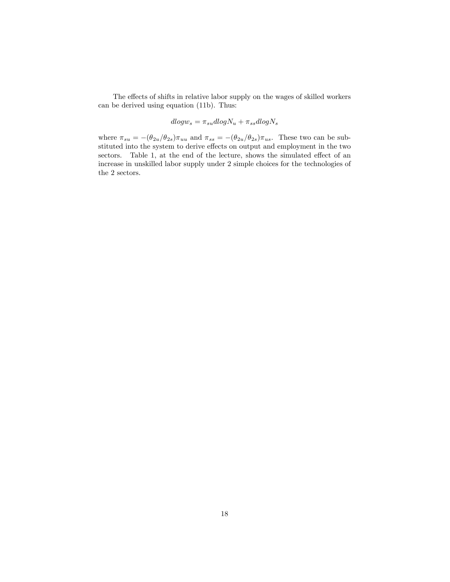The effects of shifts in relative labor supply on the wages of skilled workers can be derived using equation (11b). Thus:

$$
dlog w_s = \pi_{su}dlog N_u + \pi_{ss}dlog N_s
$$

where  $\pi_{su} = -(\theta_{2u}/\theta_{2s})\pi_{uu}$  and  $\pi_{ss} = -(\theta_{2u}/\theta_{2s})\pi_{us}$ . These two can be substituted into the system to derive effects on output and employment in the two sectors. Table 1, at the end of the lecture, shows the simulated effect of an increase in unskilled labor supply under 2 simple choices for the technologies of the 2 sectors.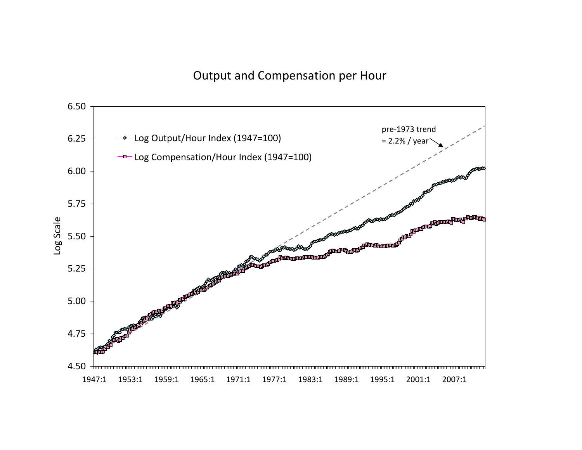## Output and Compensation per Hour

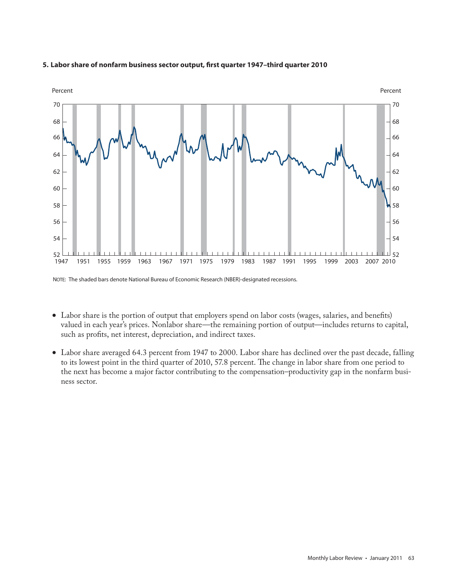

### **5. Labor share of nonfarm business sector output, first quarter 1947–third quarter 2010**

NOTE: The shaded bars denote National Bureau of Economic Research (NBER)-designated recessions.

- Labor share is the portion of output that employers spend on labor costs (wages, salaries, and benefits) valued in each year's prices. Nonlabor share—the remaining portion of output—includes returns to capital, such as profits, net interest, depreciation, and indirect taxes.
- Labor share averaged 64.3 percent from 1947 to 2000. Labor share has declined over the past decade, falling to its lowest point in the third quarter of 2010, 57.8 percent. The change in labor share from one period to the next has become a major factor contributing to the compensation–productivity gap in the nonfarm business sector.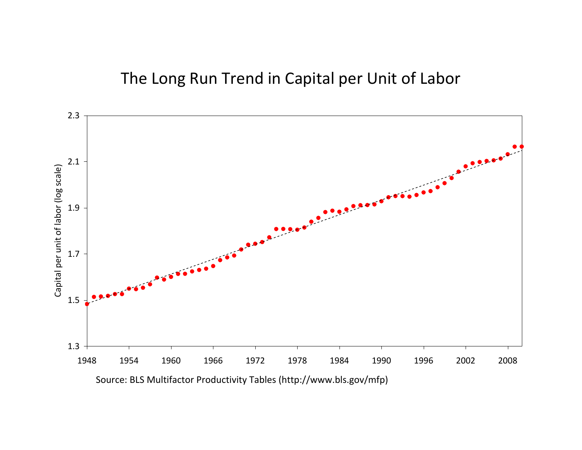# 2.3 2.1 Capital per unit of labor (log scale) Capital per unit of labor (log scale) 1.9 1.7 1.5 1.3 2008 1948 1954 1960 1966 1972 1978 1984 1990 1996 2002 2008

## The Long Run Trend in Capital per Unit of Labor

Source: BLS Multifactor Productivity Tables (http://www.bls.gov/mfp)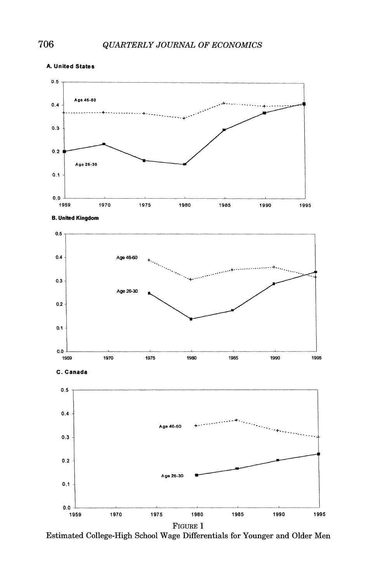

Estimated College-High School Wage Differentials for Younger and Older Men

**A. United States**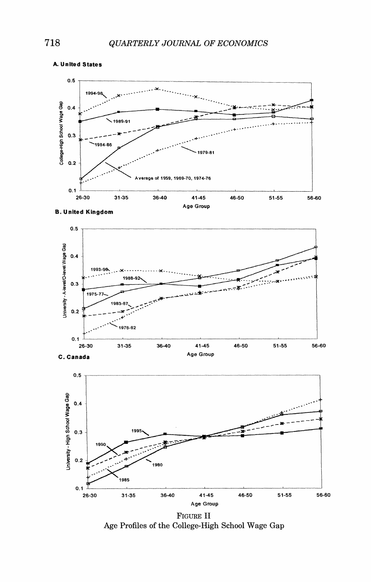

**A. Unlted States** 

**8. United Kingdom** 





FIGURE**I1**  Age Profiles of the College-High School Wage Gap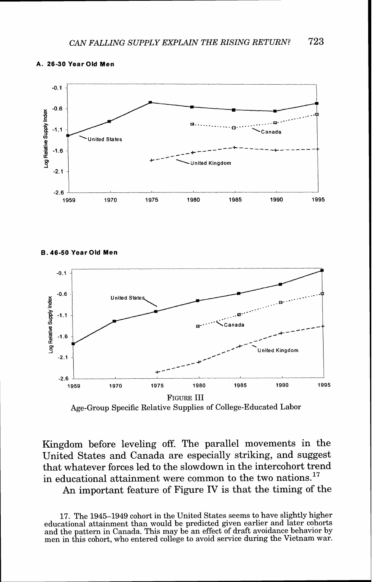

#### **A. 26-30 Year Old Men**

**B. 46-50 Year Old Men** 



Age-Group Specific Relative Supplies of College-Educated Labor

Kingdom before leveling off. The parallel movements in the United States and Canada are especially striking, and suggest that whatever forces led to the slowdown in the intercohort trend in educational attainment were common to the two nations.<sup>17</sup>

An important feature of Figure IV is that the timing of the

17. The 1945-1949 cohort in the United States seems to have slightly higher educational attainment than would be predicted given earlier and later cohorts men in this cohort, who entered college to avoid service during the Vietnam war.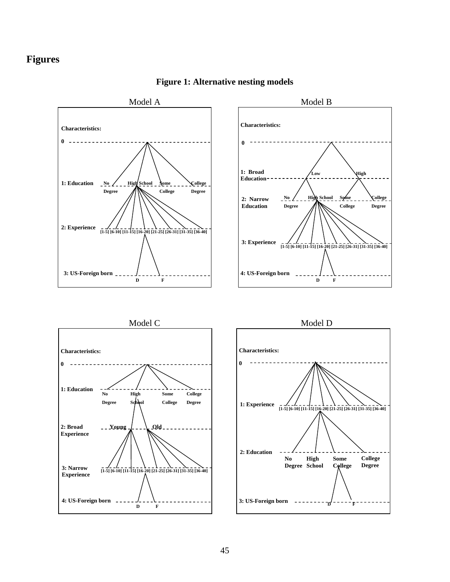### **Figures**



### **Figure 1: Alternative nesting models**





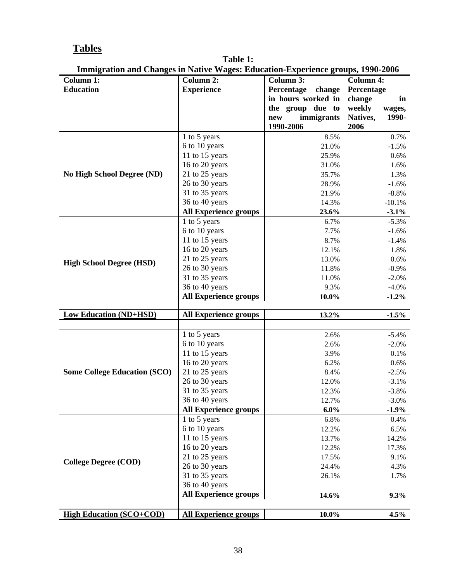## **Tables**

| <b>Table 1:</b>                                                                        |
|----------------------------------------------------------------------------------------|
| <b>Immigration and Changes in Native Wages: Education-Experience groups, 1990-2006</b> |

| Thing about and Changes in Native Wages. Education-Experience groups, 1990-2000<br><b>Column 1:</b> | <b>Column 2:</b>                                                                                                   | Column 3:            | <b>Column 4:</b>  |
|-----------------------------------------------------------------------------------------------------|--------------------------------------------------------------------------------------------------------------------|----------------------|-------------------|
| <b>Education</b>                                                                                    | <b>Experience</b>                                                                                                  | Percentage<br>change | Percentage        |
|                                                                                                     |                                                                                                                    | in hours worked in   | change<br>in      |
|                                                                                                     |                                                                                                                    | the group due to     | weekly<br>wages,  |
|                                                                                                     |                                                                                                                    | immigrants<br>new    | 1990-<br>Natives, |
|                                                                                                     |                                                                                                                    | 1990-2006            | 2006              |
|                                                                                                     | 1 to 5 years                                                                                                       | 8.5%                 | 0.7%              |
|                                                                                                     | 6 to 10 years                                                                                                      | 21.0%                | $-1.5%$           |
|                                                                                                     | 11 to 15 years                                                                                                     | 25.9%                | 0.6%              |
|                                                                                                     | 16 to 20 years                                                                                                     | $31.0\%$             | 1.6%              |
| <b>No High School Degree (ND)</b>                                                                   | 21 to 25 years                                                                                                     | 35.7%                | 1.3%              |
|                                                                                                     | 26 to 30 years                                                                                                     | 28.9%                | $-1.6%$           |
|                                                                                                     | 31 to 35 years                                                                                                     | 21.9%                | $-8.8%$           |
|                                                                                                     | 36 to 40 years                                                                                                     | 14.3%                | $-10.1%$          |
|                                                                                                     | <b>All Experience groups</b>                                                                                       | 23.6%                | $-3.1\%$          |
|                                                                                                     | 1 to 5 years                                                                                                       | 6.7%                 | $-5.3%$           |
|                                                                                                     | 6 to 10 years                                                                                                      | 7.7%                 | $-1.6%$           |
|                                                                                                     | 11 to 15 years                                                                                                     | 8.7%                 | $-1.4%$           |
|                                                                                                     | 16 to 20 years                                                                                                     | 12.1%                | 1.8%              |
| <b>High School Degree (HSD)</b>                                                                     | 21 to 25 years                                                                                                     | 13.0%                | 0.6%              |
|                                                                                                     | 26 to 30 years                                                                                                     | 11.8%                | $-0.9\%$          |
|                                                                                                     | 31 to 35 years                                                                                                     | 11.0%                | $-2.0\%$          |
|                                                                                                     | 36 to 40 years                                                                                                     | 9.3%                 | $-4.0\%$          |
|                                                                                                     | <b>All Experience groups</b>                                                                                       | $10.0\%$             | $-1.2%$           |
| <b>Low Education (ND+HSD)</b>                                                                       | All Experience groups                                                                                              | 13.2%                | $-1.5%$           |
|                                                                                                     |                                                                                                                    |                      |                   |
|                                                                                                     | 1 to 5 years                                                                                                       | 2.6%                 | $-5.4%$           |
|                                                                                                     | 6 to 10 years                                                                                                      | 2.6%                 | $-2.0%$           |
|                                                                                                     | 11 to 15 years                                                                                                     | 3.9%                 | 0.1%              |
|                                                                                                     | 16 to 20 years                                                                                                     | 6.2%                 | 0.6%              |
| <b>Some College Education (SCO)</b>                                                                 | 21 to 25 years                                                                                                     | 8.4%                 | $-2.5%$           |
|                                                                                                     | 26 to 30 years                                                                                                     | 12.0%                | $-3.1%$           |
|                                                                                                     | 31 to 35 years                                                                                                     | 12.3%                | $-3.8%$           |
|                                                                                                     | 36 to 40 years                                                                                                     | 12.7%                | $-3.0\%$          |
|                                                                                                     | <b>All Experience groups</b>                                                                                       | $6.0\%$              | $-1.9%$           |
|                                                                                                     | 1 to 5 years                                                                                                       | 6.8%                 | 0.4%              |
|                                                                                                     | 6 to 10 years                                                                                                      | 12.2%                | 6.5%              |
|                                                                                                     | 11 to 15 years                                                                                                     | 13.7%                | 14.2%             |
|                                                                                                     | 16 to 20 years                                                                                                     | 12.2%                | 17.3%             |
|                                                                                                     | 21 to 25 years                                                                                                     | 17.5%                | 9.1%              |
|                                                                                                     |                                                                                                                    | 24.4%                | 4.3%              |
|                                                                                                     |                                                                                                                    | 26.1%                | 1.7%              |
|                                                                                                     |                                                                                                                    |                      |                   |
|                                                                                                     |                                                                                                                    | 14.6%                | 9.3%              |
|                                                                                                     |                                                                                                                    |                      |                   |
| <b>College Degree (COD)</b><br><b>High Education (SCO+COD)</b>                                      | 26 to 30 years<br>31 to 35 years<br>36 to 40 years<br><b>All Experience groups</b><br><b>All Experience groups</b> | $10.0\%$             | 4.5%              |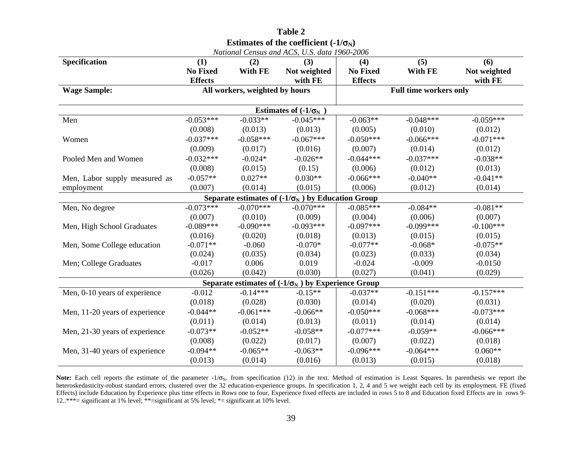| Estimates of the coefficient $(-1/\sigma_N)$ |                 |                                |                                                           |                 |                               |              |  |
|----------------------------------------------|-----------------|--------------------------------|-----------------------------------------------------------|-----------------|-------------------------------|--------------|--|
| National Census and ACS, U.S. data 1960-2006 |                 |                                |                                                           |                 |                               |              |  |
| Specification                                | (1)             | (2)                            | (3)                                                       | (4)             | (5)                           | (6)          |  |
|                                              | <b>No Fixed</b> | With FE                        | Not weighted                                              | <b>No Fixed</b> | With FE                       | Not weighted |  |
|                                              | <b>Effects</b>  |                                | with FE                                                   | <b>Effects</b>  |                               | with FE      |  |
| <b>Wage Sample:</b>                          |                 | All workers, weighted by hours |                                                           |                 | <b>Full time workers only</b> |              |  |
|                                              |                 |                                | Estimates of $(-1/\sigma_N)$                              |                 |                               |              |  |
| Men                                          | $-0.053***$     | $-0.033**$                     | $-0.045***$                                               | $-0.063**$      | $-0.048***$                   | $-0.059***$  |  |
|                                              | (0.008)         | (0.013)                        | (0.013)                                                   | (0.005)         | (0.010)                       | (0.012)      |  |
| Women                                        | $-0.037***$     | $-0.058***$                    | $-0.067***$                                               | $-0.050***$     | $-0.066***$                   | $-0.071***$  |  |
|                                              | (0.009)         | (0.017)                        | (0.016)                                                   | (0.007)         | (0.014)                       | (0.012)      |  |
| Pooled Men and Women                         | $-0.032***$     | $-0.024*$                      | $-0.026**$                                                | $-0.044***$     | $-0.037***$                   | $-0.038**$   |  |
|                                              | (0.008)         | (0.015)                        | (0.15)                                                    | (0.006)         | (0.012)                       | (0.013)      |  |
| Men, Labor supply measured as                | $-0.057**$      | $0.027**$                      | $0.030**$                                                 | $-0.066***$     | $-0.040**$                    | $-0.041**$   |  |
| employment                                   | (0.007)         | (0.014)                        | (0.015)                                                   | (0.006)         | (0.012)                       | (0.014)      |  |
|                                              |                 |                                | Separate estimates of $(-1/\sigma_N)$ by Education Group  |                 |                               |              |  |
| Men, No degree                               | $-0.073***$     | $-0.070***$                    | $-0.070***$                                               | $-0.085***$     | $-0.084**$                    | $-0.081**$   |  |
|                                              | (0.007)         | (0.010)                        | (0.009)                                                   | (0.004)         | (0.006)                       | (0.007)      |  |
| Men, High School Graduates                   | $-0.089***$     | $-0.090***$                    | $-0.093***$                                               | $-0.097***$     | $-0.099***$                   | $-0.100***$  |  |
|                                              | (0.016)         | (0.020)                        | (0.018)                                                   | (0.013)         | (0.015)                       | (0.015)      |  |
| Men, Some College education                  | $-0.071**$      | $-0.060$                       | $-0.070*$                                                 | $-0.077**$      | $-0.068*$                     | $-0.075**$   |  |
|                                              | (0.024)         | (0.035)                        | (0.034)                                                   | (0.023)         | (0.033)                       | (0.034)      |  |
| Men; College Graduates                       | $-0.017$        | 0.006                          | 0.019                                                     | $-0.024$        | $-0.009$                      | $-0.0150$    |  |
|                                              | (0.026)         | (0.042)                        | (0.030)                                                   | (0.027)         | (0.041)                       | (0.029)      |  |
|                                              |                 |                                | Separate estimates of $(-1/\sigma_N)$ by Experience Group |                 |                               |              |  |
| Men, 0-10 years of experience                | $-0.012$        | $-0.14***$                     | $-0.15**$                                                 | $-0.037**$      | $-0.151***$                   | $-0.157***$  |  |
|                                              | (0.018)         | (0.028)                        | (0.030)                                                   | (0.014)         | (0.020)                       | (0.031)      |  |
| Men, 11-20 years of experience               | $-0.044**$      | $-0.061***$                    | $-0.066**$                                                | $-0.050***$     | $-0.068***$                   | $-0.073***$  |  |
|                                              | (0.011)         | (0.014)                        | (0.013)                                                   | (0.011)         | (0.014)                       | (0.014)      |  |
| Men, 21-30 years of experience               | $-0.073**$      | $-0.052**$                     | $-0.058**$                                                | $-0.077***$     | $-0.059**$                    | $-0.066***$  |  |
|                                              | (0.008)         | (0.022)                        | (0.017)                                                   | (0.007)         | (0.022)                       | (0.018)      |  |
| Men, 31-40 years of experience               | $-0.094**$      | $-0.065**$                     | $-0.063**$                                                | $-0.096***$     | $-0.064***$                   | $0.060**$    |  |
|                                              | (0.013)         | (0.014)                        | (0.016)                                                   | (0.013)         | (0.015)                       | (0.018)      |  |

**Table 2** 

Note: Each cell reports the estimate of the parameter  $-1/\sigma_N$ . from specification (12) in the text. Method of estimation is Least Squares. In parenthesis we report the heteroskedasticity-robust standard errors, clustered over the 32 education-experience groups. In specification 1, 2, 4 and 5 we weight each cell by its employment. FE (fixed Effects) include Education by Experience plus time effects in Rows one to four, Experience fixed effects are included in rows 5 to 8 and Education fixed Effects are in rows 9-12..\*\*\*= significant at 1% level; \*\*=significant at 5% level; \*= significant at 10% level.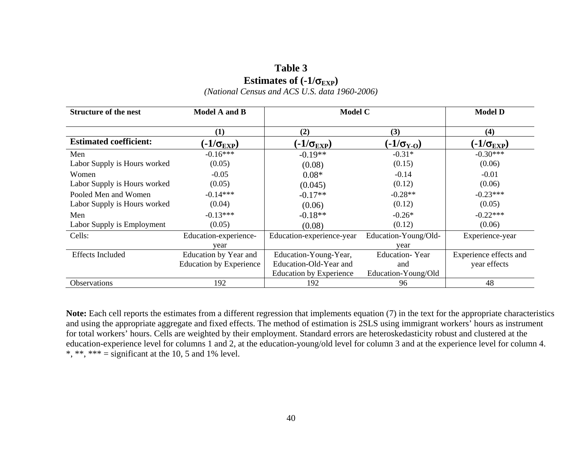## **Table 3 Estimates of**  $(-1/\sigma_{EXP})$

*(National Census and ACS U.S. data 1960-2006)* 

| <b>Structure of the nest</b>  | <b>Model A and B</b>           | <b>Model C</b>                 |                       | <b>Model D</b>         |
|-------------------------------|--------------------------------|--------------------------------|-----------------------|------------------------|
|                               | (1)                            | (2)                            | (3)                   | (4)                    |
| <b>Estimated coefficient:</b> | (-1/σ $_{\rm EXP}$ )           | $(-1/\sigma_{\rm EXP})$        | $(-1/\sigma_{Y-O})$   | (-1/σ $_{\rm EXP}$ )   |
| Men                           | $-0.16***$                     | $-0.19**$                      | $-0.31*$              | $-0.30***$             |
| Labor Supply is Hours worked  | (0.05)                         | (0.08)                         | (0.15)                | (0.06)                 |
| Women                         | $-0.05$                        | $0.08*$                        | $-0.14$               | $-0.01$                |
| Labor Supply is Hours worked  | (0.05)                         | (0.045)                        | (0.12)                | (0.06)                 |
| Pooled Men and Women          | $-0.14***$                     | $-0.17**$                      | $-0.28**$             | $-0.23***$             |
| Labor Supply is Hours worked  | (0.04)                         | (0.06)                         | (0.12)                | (0.05)                 |
| Men                           | $-0.13***$                     | $-0.18**$                      | $-0.26*$              | $-0.22***$             |
| Labor Supply is Employment    | (0.05)                         | (0.08)                         | (0.12)                | (0.06)                 |
| Cells:                        | Education-experience-          | Education-experience-year      | Education-Young/Old-  | Experience-year        |
|                               | vear                           |                                | year                  |                        |
| <b>Effects Included</b>       | Education by Year and          | Education-Young-Year,          | <b>Education-Year</b> | Experience effects and |
|                               | <b>Education by Experience</b> | Education-Old-Year and         | and                   | year effects           |
|                               |                                | <b>Education by Experience</b> | Education-Young/Old   |                        |
| Observations                  | 192                            | 192                            | 96                    | 48                     |

**Note:** Each cell reports the estimates from a different regression that implements equation (7) in the text for the appropriate characteristics and using the appropriate aggregate and fixed effects. The method of estimation is 2SLS using immigrant workers' hours as instrument for total workers' hours. Cells are weighted by their employment. Standard errors are heteroskedasticity robust and clustered at the education-experience level for columns 1 and 2, at the education-young/old level for column 3 and at the experience level for column 4. \*, \*\*, \*\*\* = significant at the 10, 5 and 1% level.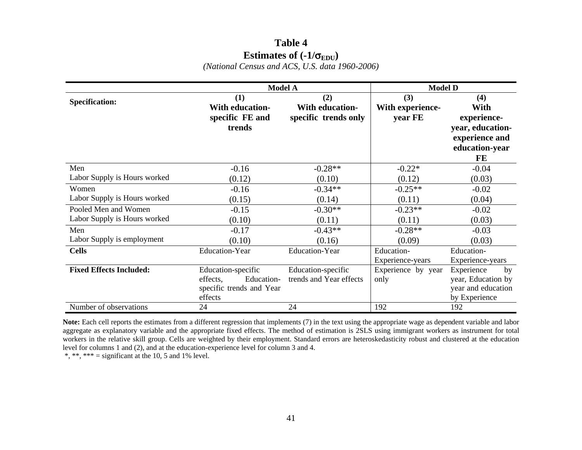## **Table 4 Estimates of**  $(-1/\sigma_{EDU})$

*(National Census and ACS, U.S. data 1960-2006)* 

|                                | <b>Model A</b>           |                         | <b>Model D</b>     |                    |  |
|--------------------------------|--------------------------|-------------------------|--------------------|--------------------|--|
| <b>Specification:</b>          | (1)                      | (2)                     | (3)                | (4)                |  |
|                                | <b>With education-</b>   | <b>With education-</b>  | With experience-   | With               |  |
|                                | specific FE and          | specific trends only    | year FE            | experience-        |  |
|                                | trends                   |                         |                    | year, education-   |  |
|                                |                          |                         |                    | experience and     |  |
|                                |                          |                         |                    | education-year     |  |
|                                |                          |                         |                    | FE                 |  |
| Men                            | $-0.16$                  | $-0.28**$               | $-0.22*$           | $-0.04$            |  |
| Labor Supply is Hours worked   | (0.12)                   | (0.10)                  | (0.12)             | (0.03)             |  |
| Women                          | $-0.16$                  | $-0.34**$               | $-0.25**$          | $-0.02$            |  |
| Labor Supply is Hours worked   | (0.15)                   | (0.14)                  | (0.11)             | (0.04)             |  |
| Pooled Men and Women           | $-0.15$                  | $-0.30**$               | $-0.23**$          | $-0.02$            |  |
| Labor Supply is Hours worked   | (0.10)                   | (0.11)                  | (0.11)             | (0.03)             |  |
| Men                            | $-0.17$                  | $-0.43**$               | $-0.28**$          | $-0.03$            |  |
| Labor Supply is employment     | (0.10)                   | (0.16)                  | (0.09)             | (0.03)             |  |
| <b>Cells</b>                   | <b>Education-Year</b>    | <b>Education-Year</b>   | Education-         | Education-         |  |
|                                |                          |                         | Experience-years   | Experience-years   |  |
| <b>Fixed Effects Included:</b> | Education-specific       | Education-specific      | Experience by year | Experience<br>by   |  |
|                                | effects,<br>Education-   | trends and Year effects | only               | year, Education by |  |
|                                | specific trends and Year |                         |                    | year and education |  |
|                                | effects                  |                         |                    | by Experience      |  |
| Number of observations         | 24                       | 24                      | 192                | 192                |  |

**Note:** Each cell reports the estimates from a different regression that implements (7) in the text using the appropriate wage as dependent variable and labor aggregate as explanatory variable and the appropriate fixed effects. The method of estimation is 2SLS using immigrant workers as instrument for total workers in the relative skill group. Cells are weighted by their employment. Standard errors are heteroskedasticity robust and clustered at the education level for columns 1 and (2), and at the education-experience level for column 3 and 4.

\*, \*\*, \*\*\* = significant at the 10, 5 and 1% level.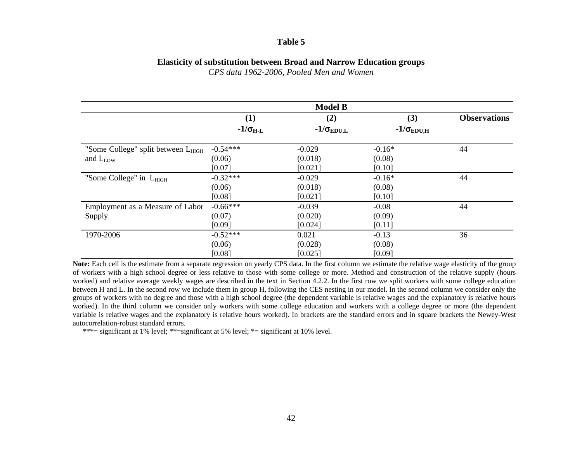### **Table 5**

### **Elasticity of substitution between Broad and Narrow Education groups**

*CPS data 1962-2006, Pooled Men and Women* 

|                                                |                   | <b>Model B</b>      |                          |                     |
|------------------------------------------------|-------------------|---------------------|--------------------------|---------------------|
|                                                | (1)               | (2)                 | (3)                      | <b>Observations</b> |
|                                                | $-1/\sigma_{H-L}$ | $-1/\sigma_{EDU,L}$ | $-1/\sigma_{\rm EDU, H}$ |                     |
| "Some College" split between L <sub>HIGH</sub> | $-0.54***$        | $-0.029$            | $-0.16*$                 | 44                  |
| and L <sub>LOW</sub>                           | (0.06)            | (0.018)             | (0.08)                   |                     |
|                                                | [0.07]            | [0.021]             | [0.10]                   |                     |
| "Some College" in L <sub>HIGH</sub>            | $-0.32***$        | $-0.029$            | $-0.16*$                 | 44                  |
|                                                | (0.06)            | (0.018)             | (0.08)                   |                     |
|                                                | [0.08]            | [0.021]             | [0.10]                   |                     |
| Employment as a Measure of Labor               | $-0.66***$        | $-0.039$            | $-0.08$                  | 44                  |
| Supply                                         | (0.07)            | (0.020)             | (0.09)                   |                     |
|                                                | [0.09]            | [0.024]             | [0.11]                   |                     |
| 1970-2006                                      | $-0.52***$        | 0.021               | $-0.13$                  | 36                  |
|                                                | (0.06)            | (0.028)             | (0.08)                   |                     |
|                                                | [0.08]            | [0.025]             | [0.09]                   |                     |

**Note:** Each cell is the estimate from a separate regression on yearly CPS data. In the first column we estimate the relative wage elasticity of the group of workers with a high school degree or less relative to those with some college or more. Method and construction of the relative supply (hours worked) and relative average weekly wages are described in the text in Section 4.2.2. In the first row we split workers with some college education between H and L. In the second row we include them in group H, following the CES nesting in our model. In the second column we consider only the groups of workers with no degree and those with a high school degree (the dependent variable is relative wages and the explanatory is relative hours worked). In the third column we consider only workers with some college education and workers with a college degree or more (the dependent variable is relative wages and the explanatory is relative hours worked). In brackets are the standard errors and in square brackets the Newey-West autocorrelation-robust standard errors.

\*\*\*= significant at 1% level; \*\*=significant at 5% level; \*= significant at 10% level.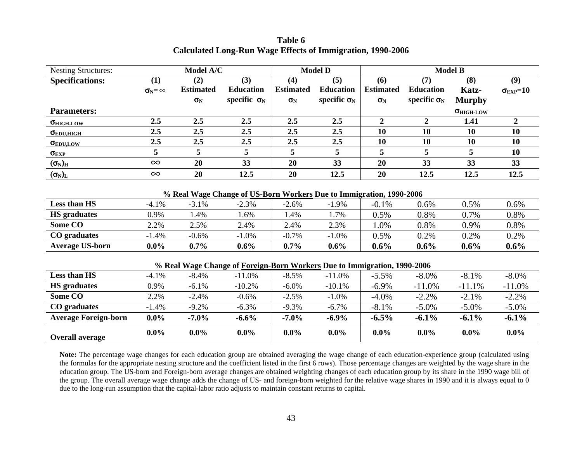| <b>Nesting Structures:</b>  | Model A/C                 |                  |                                                                          | <b>Model D</b>   |                     |                  | <b>Model B</b>      |                            |                         |
|-----------------------------|---------------------------|------------------|--------------------------------------------------------------------------|------------------|---------------------|------------------|---------------------|----------------------------|-------------------------|
| <b>Specifications:</b>      | (1)                       | (2)              | (3)                                                                      | (4)              | (5)                 | (6)              | (7)                 | (8)                        | (9)                     |
|                             | $\sigma_{\rm N} = \infty$ | <b>Estimated</b> | <b>Education</b>                                                         | <b>Estimated</b> | <b>Education</b>    | <b>Estimated</b> | <b>Education</b>    | Katz-                      | $\sigma_{\rm EXP} = 10$ |
|                             |                           | $\sigma_{\rm N}$ | specific $\sigma_N$                                                      | $\sigma_{N}$     | specific $\sigma_N$ | $\sigma_{\rm N}$ | specific $\sigma_N$ | <b>Murphy</b>              |                         |
| <b>Parameters:</b>          |                           |                  |                                                                          |                  |                     |                  |                     | $\sigma_{\text{HIGH-LOW}}$ |                         |
| $\sigma_{\text{HIGH-LOW}}$  | 2.5                       | 2.5              | 2.5                                                                      | 2.5              | 2.5                 | $\overline{2}$   | $\overline{2}$      | 1.41                       | $\overline{2}$          |
| $\sigma_{EDU,HIGH}$         | 2.5                       | 2.5              | 2.5                                                                      | 2.5              | 2.5                 | 10               | 10                  | <b>10</b>                  | 10                      |
| $\sigma_{EDU,LOW}$          | 2.5                       | 2.5              | 2.5                                                                      | 2.5              | 2.5                 | 10               | 10                  | <b>10</b>                  | 10                      |
| $\sigma_{EXP}$              | 5                         | 5                | 5                                                                        | 5                | 5                   | 5                | 5                   | 5                          | 10                      |
| $(\sigma_{\rm N})_{\rm H}$  | $\infty$                  | 20               | 33                                                                       | 20               | 33                  | 20               | 33                  | 33                         | 33                      |
| $(\sigma_{\rm N})_{\rm L}$  | $\infty$                  | 20               | 12.5                                                                     | 20               | 12.5                | 20               | 12.5                | 12.5                       | 12.5                    |
|                             |                           |                  |                                                                          |                  |                     |                  |                     |                            |                         |
|                             |                           |                  | % Real Wage Change of US-Born Workers Due to Immigration, 1990-2006      |                  |                     |                  |                     |                            |                         |
| <b>Less than HS</b>         | $-4.1%$                   | $-3.1%$          | $-2.3%$                                                                  | $-2.6%$          | $-1.9%$             | $-0.1\%$         | 0.6%                | 0.5%                       | 0.6%                    |
| <b>HS</b> graduates         | 0.9%                      | 1.4%             | 1.6%                                                                     | 1.4%             | 1.7%                | 0.5%             | 0.8%                | 0.7%                       | 0.8%                    |
| Some CO                     | 2.2%                      | 2.5%             | 2.4%                                                                     | 2.4%             | 2.3%                | 1.0%             | 0.8%                | 0.9%                       | 0.8%                    |
| CO graduates                | $-1.4%$                   | $-0.6%$          | $-1.0%$                                                                  | $-0.7%$          | $-1.0%$             | 0.5%             | 0.2%                | 0.2%                       | 0.2%                    |
| <b>Average US-born</b>      | $0.0\%$                   | $0.7\%$          | $0.6\%$                                                                  | 0.7%             | $0.6\%$             | $0.6\%$          | $0.6\%$             | $0.6\%$                    | 0.6%                    |
|                             |                           |                  |                                                                          |                  |                     |                  |                     |                            |                         |
|                             |                           |                  | % Real Wage Change of Foreign-Born Workers Due to Immigration, 1990-2006 |                  |                     |                  |                     |                            |                         |
| Less than HS                | $-4.1%$                   | $-8.4%$          | $-11.0%$                                                                 | $-8.5%$          | $-11.0%$            | $-5.5%$          | $-8.0\%$            | $-8.1%$                    | $-8.0\%$                |
| <b>HS</b> graduates         | 0.9%                      | $-6.1%$          | $-10.2%$                                                                 | $-6.0\%$         | $-10.1%$            | $-6.9\%$         | $-11.0%$            | $-11.1%$                   | $-11.0%$                |
| <b>Some CO</b>              | 2.2%                      | $-2.4%$          | $-0.6%$                                                                  | $-2.5%$          | $-1.0%$             | $-4.0\%$         | $-2.2%$             | $-2.1%$                    | $-2.2%$                 |
| CO graduates                | $-1.4%$                   | $-9.2%$          | $-6.3%$                                                                  | $-9.3%$          | $-6.7%$             | $-8.1%$          | $-5.0\%$            | $-5.0\%$                   | $-5.0\%$                |
| <b>Average Foreign-born</b> | $0.0\%$                   | $-7.0\%$         | $-6.6\%$                                                                 | $-7.0\%$         | $-6.9\%$            | $-6.5\%$         | $-6.1\%$            | $-6.1\%$                   | $-6.1\%$                |
| <b>Overall average</b>      | $0.0\%$                   | $0.0\%$          | $0.0\%$                                                                  | $0.0\%$          | $0.0\%$             | $0.0\%$          | $0.0\%$             | $0.0\%$                    | $0.0\%$                 |

**Table 6 Calculated Long-Run Wage Effects of Immigration, 1990-2006** 

**Note:** The percentage wage changes for each education group are obtained averaging the wage change of each education-experience group (calculated using the formulas for the appropriate nesting structure and the coefficient listed in the first 6 rows). Those percentage changes are weighted by the wage share in the education group. The US-born and Foreign-born average changes are obtained weighting changes of each education group by its share in the 1990 wage bill of the group. The overall average wage change adds the change of US- and foreign-born weighted for the relative wage shares in 1990 and it is always equal to 0 due to the long-run assumption that the capital-labor ratio adjusts to maintain constant returns to capital.